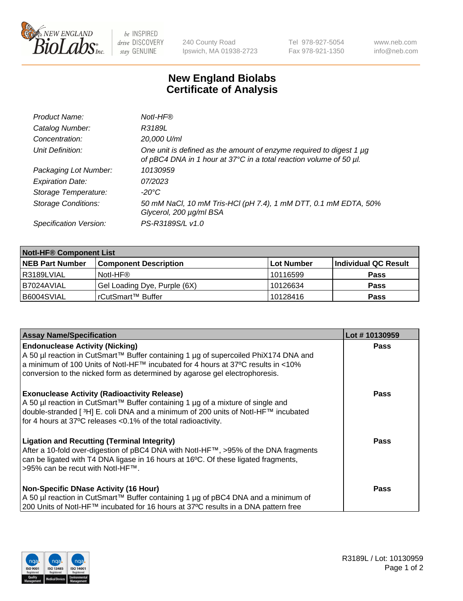

 $be$  INSPIRED drive DISCOVERY stay GENUINE

240 County Road Ipswich, MA 01938-2723 Tel 978-927-5054 Fax 978-921-1350 www.neb.com info@neb.com

## **New England Biolabs Certificate of Analysis**

| Product Name:              | Notl-HF®                                                                                                                                  |
|----------------------------|-------------------------------------------------------------------------------------------------------------------------------------------|
| Catalog Number:            | R3189L                                                                                                                                    |
| Concentration:             | 20,000 U/ml                                                                                                                               |
| Unit Definition:           | One unit is defined as the amount of enzyme required to digest 1 µg<br>of pBC4 DNA in 1 hour at 37°C in a total reaction volume of 50 µl. |
| Packaging Lot Number:      | 10130959                                                                                                                                  |
| <b>Expiration Date:</b>    | 07/2023                                                                                                                                   |
| Storage Temperature:       | $-20^{\circ}$ C                                                                                                                           |
| <b>Storage Conditions:</b> | 50 mM NaCl, 10 mM Tris-HCl (pH 7.4), 1 mM DTT, 0.1 mM EDTA, 50%<br>Glycerol, 200 µg/ml BSA                                                |
| Specification Version:     | PS-R3189S/L v1.0                                                                                                                          |

| <b>Notl-HF® Component List</b> |                              |            |                      |  |  |
|--------------------------------|------------------------------|------------|----------------------|--|--|
| <b>NEB Part Number</b>         | <b>Component Description</b> | Lot Number | Individual QC Result |  |  |
| R3189LVIAL                     | Notl-HF®                     | 10116599   | <b>Pass</b>          |  |  |
| I B7024AVIAL                   | Gel Loading Dye, Purple (6X) | 10126634   | <b>Pass</b>          |  |  |
| B6004SVIAL                     | l rCutSmart™ Buffer          | 10128416   | <b>Pass</b>          |  |  |

| <b>Assay Name/Specification</b>                                                                                                                                                                                                                                                                              | Lot #10130959 |
|--------------------------------------------------------------------------------------------------------------------------------------------------------------------------------------------------------------------------------------------------------------------------------------------------------------|---------------|
| <b>Endonuclease Activity (Nicking)</b><br>  A 50 µl reaction in CutSmart™ Buffer containing 1 µg of supercoiled PhiX174 DNA and                                                                                                                                                                              | <b>Pass</b>   |
| a minimum of 100 Units of Notl-HF™ incubated for 4 hours at 37°C results in <10%<br>conversion to the nicked form as determined by agarose gel electrophoresis.                                                                                                                                              |               |
| <b>Exonuclease Activity (Radioactivity Release)</b><br>  A 50 µl reaction in CutSmart™ Buffer containing 1 µg of a mixture of single and<br>double-stranded [ <sup>3</sup> H] E. coli DNA and a minimum of 200 units of Notl-HF™ incubated<br>for 4 hours at 37°C releases <0.1% of the total radioactivity. | Pass          |
| <b>Ligation and Recutting (Terminal Integrity)</b><br>After a 10-fold over-digestion of pBC4 DNA with Notl-HF™, >95% of the DNA fragments<br>can be ligated with T4 DNA ligase in 16 hours at 16 <sup>o</sup> C. Of these ligated fragments,<br>1>95% can be recut with NotI-HF™.                            | Pass          |
| <b>Non-Specific DNase Activity (16 Hour)</b><br>A 50 µl reaction in CutSmart™ Buffer containing 1 µg of pBC4 DNA and a minimum of<br>200 Units of Notl-HF™ incubated for 16 hours at 37°C results in a DNA pattern free                                                                                      | <b>Pass</b>   |